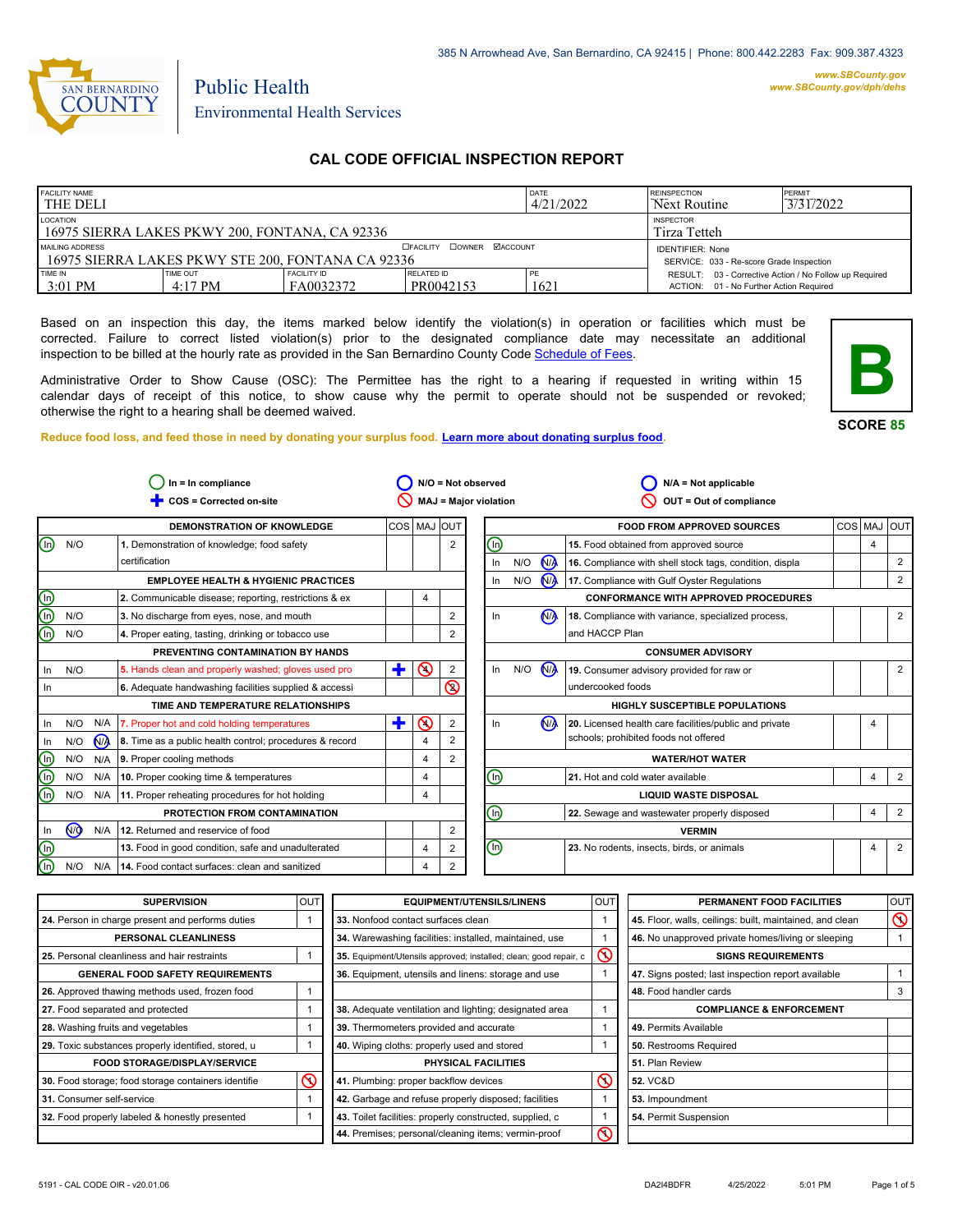

#### *www.SBCounty.gov [www.SBCounty.gov/dph/dehs](http://www.sbcounty.gov/dph/ehsportal)*

Public Health Environmental Health Services

# **CAL CODE OFFICIAL INSPECTION REPORT**

| <b>FACILITY NAME</b><br>l THE DELI                                                                       |                               |                                  |                                | DATE<br>4/21/2022 | <b>REINSPECTION</b><br>Next Routine                                                               | PERMIT<br>3/31/2022 |
|----------------------------------------------------------------------------------------------------------|-------------------------------|----------------------------------|--------------------------------|-------------------|---------------------------------------------------------------------------------------------------|---------------------|
| LOCATION<br>16975 SIERRA LAKES PKWY 200, FONTANA, CA 92336                                               |                               | <b>INSPECTOR</b><br>Tirza Tetteh |                                |                   |                                                                                                   |                     |
| <b>OFACILITY COWNER MACCOUNT</b><br>MAILING ADDRESS<br>16975 SIERRA LAKES PKWY STE 200. FONTANA CA 92336 |                               |                                  |                                |                   | <b>IDENTIFIER: None</b><br>SERVICE: 033 - Re-score Grade Inspection                               |                     |
| TIME IN<br>3:01 PM                                                                                       | TIME OUT<br>$4:17 \text{ PM}$ | <b>FACILITY ID</b><br>FA0032372  | <b>RELATED ID</b><br>PR0042153 | ' PE<br>1621      | RESULT: 03 - Corrective Action / No Follow up Required<br>ACTION: 01 - No Further Action Required |                     |

Based on an inspection this day, the items marked below identify the violation(s) in operation or facilities which must be corrected. Failure to correct listed violation(s) prior to the designated compliance date may necessitate an additional inspection to be billed at the hourly rate as provided in the San Bernardino County Co[de Schedule of Fees.](https://codelibrary.amlegal.com/codes/sanbernardino/latest/sanberncty_ca/0-0-0-122474#JD_16.0213B)

Administrative Order to Show Cause (OSC): The Permittee has the right to a hearing if requested in writing within 15 calendar days of receipt of this notice, to show cause why the permit to operate should not be suspended or revoked; otherwise the right to a hearing shall be deemed waived.

**SCORE 85**

**B**

**Reduce food loss, and feed those in need by donating your surplus f[ood. Learn more about donating surplus food.](https://wp.sbcounty.gov/dph/programs/ehs/charitable-food-service/)**

| COS = Corrected on-site<br><b>MAJ = Major violation</b><br>OUT = Out of compliance<br>COS MAJ OUT<br><b>DEMONSTRATION OF KNOWLEDGE</b><br><b>FOOD FROM APPROVED SOURCES</b><br>⋒<br>⋒<br>N/O<br>15. Food obtained from approved source<br>$\overline{2}$<br>1. Demonstration of knowledge; food safety<br>N <sub>/</sub><br>certification<br>N/O<br>16. Compliance with shell stock tags, condition, displa<br>In<br>$\bigwedge$<br>N/O<br>17. Compliance with Gulf Oyster Regulations<br><b>EMPLOYEE HEALTH &amp; HYGIENIC PRACTICES</b><br>In.<br>$\overline{\circ}$<br>2. Communicable disease; reporting, restrictions & ex<br><b>CONFORMANCE WITH APPROVED PROCEDURES</b><br>4<br>ଲି<br>N <sub>1</sub><br>N/O<br>$\overline{2}$<br>3. No discharge from eyes, nose, and mouth<br>In<br>18. Compliance with variance, specialized process,<br>$\widehat{\mathbb{D}}$<br>and HACCP Plan<br>N/O<br>$\overline{2}$<br>4. Proper eating, tasting, drinking or tobacco use<br>PREVENTING CONTAMINATION BY HANDS<br><b>CONSUMER ADVISORY</b><br>$\odot$<br>N <sub>/</sub><br>÷.<br>In<br>N/O<br>2<br>N/O<br>5. Hands clean and properly washed; gloves used pro<br>19. Consumer advisory provided for raw or<br>$\ln$<br>$\mathsf{\circledcirc}$<br>undercooked foods<br>6. Adequate handwashing facilities supplied & accessi<br>In.<br>TIME AND TEMPERATURE RELATIONSHIPS<br><b>HIGHLY SUSCEPTIBLE POPULATIONS</b><br>٠<br>$\infty$<br>N <sub>A</sub><br>N/O<br>N/A<br>$\overline{2}$<br>20. Licensed health care facilities/public and private<br>In<br>7. Proper hot and cold holding temperatures<br>In.<br>schools; prohibited foods not offered<br>N <sub>A</sub><br>2<br>8. Time as a public health control; procedures & record<br>In<br>N/O<br>4<br>$^\copyright$<br>2<br>N/O<br>N/A<br>9. Proper cooling methods<br>4<br><b>WATER/HOT WATER</b><br>$\bar{\text{\o}}$<br>⋒<br>N/O<br>21. Hot and cold water available<br>N/A<br>10. Proper cooking time & temperatures<br>4<br>⋒<br>N/O<br>N/A<br>11. Proper reheating procedures for hot holding<br><b>LIQUID WASTE DISPOSAL</b><br>4 |                       |  |  | $N/A = Not applicable$                      |  | $N/O = Not observed$ |  |  | $In = In$ compliance          |  |  |
|------------------------------------------------------------------------------------------------------------------------------------------------------------------------------------------------------------------------------------------------------------------------------------------------------------------------------------------------------------------------------------------------------------------------------------------------------------------------------------------------------------------------------------------------------------------------------------------------------------------------------------------------------------------------------------------------------------------------------------------------------------------------------------------------------------------------------------------------------------------------------------------------------------------------------------------------------------------------------------------------------------------------------------------------------------------------------------------------------------------------------------------------------------------------------------------------------------------------------------------------------------------------------------------------------------------------------------------------------------------------------------------------------------------------------------------------------------------------------------------------------------------------------------------------------------------------------------------------------------------------------------------------------------------------------------------------------------------------------------------------------------------------------------------------------------------------------------------------------------------------------------------------------------------------------------------------------------------------------------------------------------------------------------------------------------------------------------------------|-----------------------|--|--|---------------------------------------------|--|----------------------|--|--|-------------------------------|--|--|
|                                                                                                                                                                                                                                                                                                                                                                                                                                                                                                                                                                                                                                                                                                                                                                                                                                                                                                                                                                                                                                                                                                                                                                                                                                                                                                                                                                                                                                                                                                                                                                                                                                                                                                                                                                                                                                                                                                                                                                                                                                                                                                |                       |  |  |                                             |  |                      |  |  |                               |  |  |
|                                                                                                                                                                                                                                                                                                                                                                                                                                                                                                                                                                                                                                                                                                                                                                                                                                                                                                                                                                                                                                                                                                                                                                                                                                                                                                                                                                                                                                                                                                                                                                                                                                                                                                                                                                                                                                                                                                                                                                                                                                                                                                | COS MAJ<br><b>OUT</b> |  |  |                                             |  |                      |  |  |                               |  |  |
|                                                                                                                                                                                                                                                                                                                                                                                                                                                                                                                                                                                                                                                                                                                                                                                                                                                                                                                                                                                                                                                                                                                                                                                                                                                                                                                                                                                                                                                                                                                                                                                                                                                                                                                                                                                                                                                                                                                                                                                                                                                                                                | 4                     |  |  |                                             |  |                      |  |  |                               |  |  |
|                                                                                                                                                                                                                                                                                                                                                                                                                                                                                                                                                                                                                                                                                                                                                                                                                                                                                                                                                                                                                                                                                                                                                                                                                                                                                                                                                                                                                                                                                                                                                                                                                                                                                                                                                                                                                                                                                                                                                                                                                                                                                                |                       |  |  |                                             |  |                      |  |  |                               |  |  |
|                                                                                                                                                                                                                                                                                                                                                                                                                                                                                                                                                                                                                                                                                                                                                                                                                                                                                                                                                                                                                                                                                                                                                                                                                                                                                                                                                                                                                                                                                                                                                                                                                                                                                                                                                                                                                                                                                                                                                                                                                                                                                                |                       |  |  |                                             |  |                      |  |  |                               |  |  |
|                                                                                                                                                                                                                                                                                                                                                                                                                                                                                                                                                                                                                                                                                                                                                                                                                                                                                                                                                                                                                                                                                                                                                                                                                                                                                                                                                                                                                                                                                                                                                                                                                                                                                                                                                                                                                                                                                                                                                                                                                                                                                                |                       |  |  |                                             |  |                      |  |  |                               |  |  |
|                                                                                                                                                                                                                                                                                                                                                                                                                                                                                                                                                                                                                                                                                                                                                                                                                                                                                                                                                                                                                                                                                                                                                                                                                                                                                                                                                                                                                                                                                                                                                                                                                                                                                                                                                                                                                                                                                                                                                                                                                                                                                                |                       |  |  |                                             |  |                      |  |  |                               |  |  |
|                                                                                                                                                                                                                                                                                                                                                                                                                                                                                                                                                                                                                                                                                                                                                                                                                                                                                                                                                                                                                                                                                                                                                                                                                                                                                                                                                                                                                                                                                                                                                                                                                                                                                                                                                                                                                                                                                                                                                                                                                                                                                                |                       |  |  |                                             |  |                      |  |  |                               |  |  |
|                                                                                                                                                                                                                                                                                                                                                                                                                                                                                                                                                                                                                                                                                                                                                                                                                                                                                                                                                                                                                                                                                                                                                                                                                                                                                                                                                                                                                                                                                                                                                                                                                                                                                                                                                                                                                                                                                                                                                                                                                                                                                                |                       |  |  |                                             |  |                      |  |  |                               |  |  |
|                                                                                                                                                                                                                                                                                                                                                                                                                                                                                                                                                                                                                                                                                                                                                                                                                                                                                                                                                                                                                                                                                                                                                                                                                                                                                                                                                                                                                                                                                                                                                                                                                                                                                                                                                                                                                                                                                                                                                                                                                                                                                                |                       |  |  |                                             |  |                      |  |  |                               |  |  |
|                                                                                                                                                                                                                                                                                                                                                                                                                                                                                                                                                                                                                                                                                                                                                                                                                                                                                                                                                                                                                                                                                                                                                                                                                                                                                                                                                                                                                                                                                                                                                                                                                                                                                                                                                                                                                                                                                                                                                                                                                                                                                                |                       |  |  |                                             |  |                      |  |  |                               |  |  |
|                                                                                                                                                                                                                                                                                                                                                                                                                                                                                                                                                                                                                                                                                                                                                                                                                                                                                                                                                                                                                                                                                                                                                                                                                                                                                                                                                                                                                                                                                                                                                                                                                                                                                                                                                                                                                                                                                                                                                                                                                                                                                                |                       |  |  |                                             |  |                      |  |  |                               |  |  |
|                                                                                                                                                                                                                                                                                                                                                                                                                                                                                                                                                                                                                                                                                                                                                                                                                                                                                                                                                                                                                                                                                                                                                                                                                                                                                                                                                                                                                                                                                                                                                                                                                                                                                                                                                                                                                                                                                                                                                                                                                                                                                                | 4                     |  |  |                                             |  |                      |  |  |                               |  |  |
|                                                                                                                                                                                                                                                                                                                                                                                                                                                                                                                                                                                                                                                                                                                                                                                                                                                                                                                                                                                                                                                                                                                                                                                                                                                                                                                                                                                                                                                                                                                                                                                                                                                                                                                                                                                                                                                                                                                                                                                                                                                                                                |                       |  |  |                                             |  |                      |  |  |                               |  |  |
|                                                                                                                                                                                                                                                                                                                                                                                                                                                                                                                                                                                                                                                                                                                                                                                                                                                                                                                                                                                                                                                                                                                                                                                                                                                                                                                                                                                                                                                                                                                                                                                                                                                                                                                                                                                                                                                                                                                                                                                                                                                                                                |                       |  |  |                                             |  |                      |  |  |                               |  |  |
|                                                                                                                                                                                                                                                                                                                                                                                                                                                                                                                                                                                                                                                                                                                                                                                                                                                                                                                                                                                                                                                                                                                                                                                                                                                                                                                                                                                                                                                                                                                                                                                                                                                                                                                                                                                                                                                                                                                                                                                                                                                                                                | 4                     |  |  |                                             |  |                      |  |  |                               |  |  |
|                                                                                                                                                                                                                                                                                                                                                                                                                                                                                                                                                                                                                                                                                                                                                                                                                                                                                                                                                                                                                                                                                                                                                                                                                                                                                                                                                                                                                                                                                                                                                                                                                                                                                                                                                                                                                                                                                                                                                                                                                                                                                                |                       |  |  |                                             |  |                      |  |  |                               |  |  |
|                                                                                                                                                                                                                                                                                                                                                                                                                                                                                                                                                                                                                                                                                                                                                                                                                                                                                                                                                                                                                                                                                                                                                                                                                                                                                                                                                                                                                                                                                                                                                                                                                                                                                                                                                                                                                                                                                                                                                                                                                                                                                                | 4                     |  |  | 22. Sewage and wastewater properly disposed |  | ⊕                    |  |  | PROTECTION FROM CONTAMINATION |  |  |
| $\sqrt{9}$<br>N/A<br>$\overline{2}$<br>In<br>12. Returned and reservice of food<br><b>VERMIN</b>                                                                                                                                                                                                                                                                                                                                                                                                                                                                                                                                                                                                                                                                                                                                                                                                                                                                                                                                                                                                                                                                                                                                                                                                                                                                                                                                                                                                                                                                                                                                                                                                                                                                                                                                                                                                                                                                                                                                                                                               |                       |  |  |                                             |  |                      |  |  |                               |  |  |
| $\overline{\mathbb{D}}$<br>$\textcircled{\scriptsize{0}}$<br>13. Food in good condition, safe and unadulterated<br>2<br>23. No rodents, insects, birds, or animals<br>4                                                                                                                                                                                                                                                                                                                                                                                                                                                                                                                                                                                                                                                                                                                                                                                                                                                                                                                                                                                                                                                                                                                                                                                                                                                                                                                                                                                                                                                                                                                                                                                                                                                                                                                                                                                                                                                                                                                        | 4                     |  |  |                                             |  |                      |  |  |                               |  |  |
| ⋒<br>$\overline{2}$<br>14. Food contact surfaces: clean and sanitized<br>N/O<br>N/A<br>4                                                                                                                                                                                                                                                                                                                                                                                                                                                                                                                                                                                                                                                                                                                                                                                                                                                                                                                                                                                                                                                                                                                                                                                                                                                                                                                                                                                                                                                                                                                                                                                                                                                                                                                                                                                                                                                                                                                                                                                                       |                       |  |  |                                             |  |                      |  |  |                               |  |  |

| <b>SUPERVISION</b>                                  | OUT     | <b>EQUIPMENT/UTENSILS/LINENS</b>                                  | <b>OUT</b>             | PERMANENT FOOD FACILITIES                                | <b>OUT</b> |
|-----------------------------------------------------|---------|-------------------------------------------------------------------|------------------------|----------------------------------------------------------|------------|
| 24. Person in charge present and performs duties    |         | 33. Nonfood contact surfaces clean                                |                        | 45. Floor, walls, ceilings: built, maintained, and clean | $\infty$   |
| PERSONAL CLEANLINESS                                |         | 34. Warewashing facilities: installed, maintained, use            |                        | 46. No unapproved private homes/living or sleeping       |            |
| 25. Personal cleanliness and hair restraints        |         | 35. Equipment/Utensils approved; installed; clean; good repair, c | $\mathord{\mathbb{O}}$ | <b>SIGNS REQUIREMENTS</b>                                |            |
| <b>GENERAL FOOD SAFETY REQUIREMENTS</b>             |         | 36. Equipment, utensils and linens: storage and use               |                        | 47. Signs posted; last inspection report available       |            |
| 26. Approved thawing methods used, frozen food      |         |                                                                   |                        | 48. Food handler cards                                   | 3          |
| 27. Food separated and protected                    |         | 38. Adequate ventilation and lighting; designated area            |                        | <b>COMPLIANCE &amp; ENFORCEMENT</b>                      |            |
| 28. Washing fruits and vegetables                   |         | 39. Thermometers provided and accurate                            |                        | 49. Permits Available                                    |            |
| 29. Toxic substances properly identified, stored, u |         | 40. Wiping cloths: properly used and stored                       |                        | 50. Restrooms Required                                   |            |
| <b>FOOD STORAGE/DISPLAY/SERVICE</b>                 |         | PHYSICAL FACILITIES                                               |                        | 51. Plan Review                                          |            |
| 30. Food storage; food storage containers identifie | $\odot$ | 41. Plumbing: proper backflow devices                             | $\infty$               | <b>52. VC&amp;D</b>                                      |            |
| 31. Consumer self-service                           |         | 42. Garbage and refuse properly disposed; facilities              |                        | 53. Impoundment                                          |            |
| 32. Food properly labeled & honestly presented      |         | 43. Toilet facilities: properly constructed, supplied, c          |                        | 54. Permit Suspension                                    |            |
|                                                     |         | 44. Premises; personal/cleaning items; vermin-proof               | $\infty$               |                                                          |            |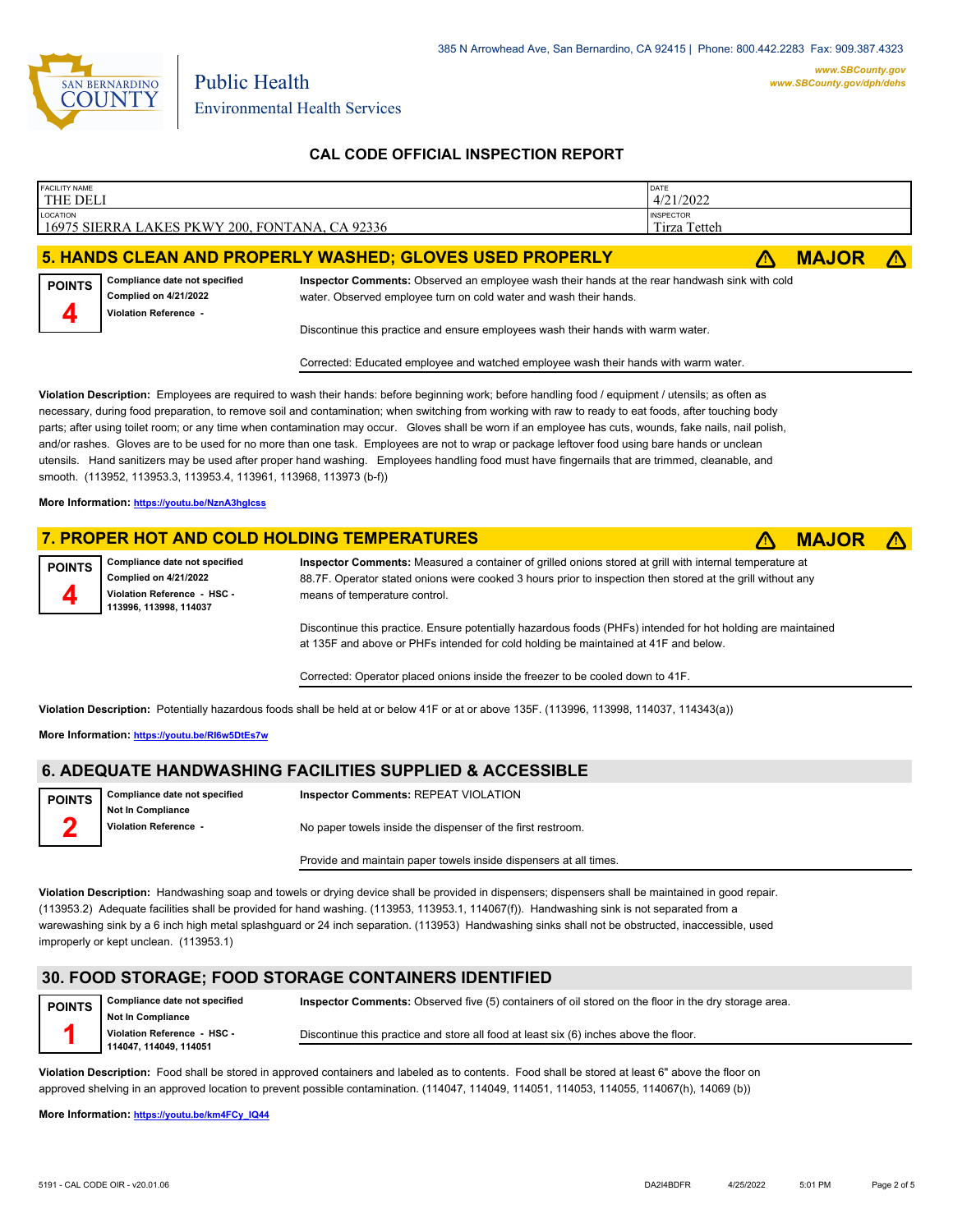

**CAL CODE OFFICIAL INSPECTION REPORT**

| FACILITY NAME<br><b>THE DELI</b> |                                                                                                                                                                                                     |                                                                                                                                                                                                                                                                                                                                                                                                                                                                                                                                                                                                                        | DATE<br>4/21/2022                |              |  |
|----------------------------------|-----------------------------------------------------------------------------------------------------------------------------------------------------------------------------------------------------|------------------------------------------------------------------------------------------------------------------------------------------------------------------------------------------------------------------------------------------------------------------------------------------------------------------------------------------------------------------------------------------------------------------------------------------------------------------------------------------------------------------------------------------------------------------------------------------------------------------------|----------------------------------|--------------|--|
| LOCATION                         | 16975 SIERRA LAKES PKWY 200, FONTANA, CA 92336                                                                                                                                                      |                                                                                                                                                                                                                                                                                                                                                                                                                                                                                                                                                                                                                        | <b>INSPECTOR</b><br>Tirza Tetteh |              |  |
|                                  |                                                                                                                                                                                                     | 5. HANDS CLEAN AND PROPERLY WASHED; GLOVES USED PROPERLY                                                                                                                                                                                                                                                                                                                                                                                                                                                                                                                                                               |                                  | <b>MAJOR</b> |  |
| <b>POINTS</b>                    | Compliance date not specified<br><b>Complied on 4/21/2022</b><br><b>Violation Reference -</b>                                                                                                       | Inspector Comments: Observed an employee wash their hands at the rear handwash sink with cold<br>water. Observed employee turn on cold water and wash their hands.                                                                                                                                                                                                                                                                                                                                                                                                                                                     |                                  |              |  |
|                                  |                                                                                                                                                                                                     | Discontinue this practice and ensure employees wash their hands with warm water.                                                                                                                                                                                                                                                                                                                                                                                                                                                                                                                                       |                                  |              |  |
|                                  |                                                                                                                                                                                                     | Corrected: Educated employee and watched employee wash their hands with warm water.                                                                                                                                                                                                                                                                                                                                                                                                                                                                                                                                    |                                  |              |  |
|                                  | smooth. (113952, 113953.3, 113953.4, 113961, 113968, 113973 (b-f))<br>More Information: https://youtu.be/NznA3hglcss                                                                                | necessary, during food preparation, to remove soil and contamination; when switching from working with raw to ready to eat foods, after touching body<br>parts; after using toilet room; or any time when contamination may occur. Gloves shall be worn if an employee has cuts, wounds, fake nails, nail polish,<br>and/or rashes. Gloves are to be used for no more than one task. Employees are not to wrap or package leftover food using bare hands or unclean<br>utensils. Hand sanitizers may be used after proper hand washing. Employees handling food must have fingernails that are trimmed, cleanable, and |                                  |              |  |
|                                  |                                                                                                                                                                                                     | 7. PROPER HOT AND COLD HOLDING TEMPERATURES                                                                                                                                                                                                                                                                                                                                                                                                                                                                                                                                                                            |                                  | <b>MAJOR</b> |  |
| <b>POINTS</b>                    | Compliance date not specified<br><b>Complied on 4/21/2022</b><br>Violation Reference - HSC -<br>113996, 113998, 114037                                                                              | Inspector Comments: Measured a container of grilled onions stored at grill with internal temperature at<br>88.7F. Operator stated onions were cooked 3 hours prior to inspection then stored at the grill without any<br>means of temperature control.                                                                                                                                                                                                                                                                                                                                                                 |                                  |              |  |
|                                  | Discontinue this practice. Ensure potentially hazardous foods (PHFs) intended for hot holding are maintained<br>at 135F and above or PHFs intended for cold holding be maintained at 41F and below. |                                                                                                                                                                                                                                                                                                                                                                                                                                                                                                                                                                                                                        |                                  |              |  |
|                                  |                                                                                                                                                                                                     | Corrected: Operator placed onions inside the freezer to be cooled down to 41F.                                                                                                                                                                                                                                                                                                                                                                                                                                                                                                                                         |                                  |              |  |
|                                  |                                                                                                                                                                                                     | Violation Description: Potentially hazardous foods shall be held at or below 41F or at or above 135F. (113996, 113998, 114037, 114343(a))                                                                                                                                                                                                                                                                                                                                                                                                                                                                              |                                  |              |  |

**More Information: <https://youtu.be/RI6w5DtEs7w>**

## **6. ADEQUATE HANDWASHING FACILITIES SUPPLIED & ACCESSIBLE**

| POINTS                  | Compliance date not specified | <b>Inspector Comments: REPEAT VIOLATION</b>                 |
|-------------------------|-------------------------------|-------------------------------------------------------------|
|                         | Not In Compliance             |                                                             |
| $\overline{\mathbf{2}}$ | Violation Reference -         | No paper towels inside the dispenser of the first restroom. |

Provide and maintain paper towels inside dispensers at all times.

**Violation Description:** Handwashing soap and towels or drying device shall be provided in dispensers; dispensers shall be maintained in good repair. (113953.2) Adequate facilities shall be provided for hand washing. (113953, 113953.1, 114067(f)). Handwashing sink is not separated from a warewashing sink by a 6 inch high metal splashguard or 24 inch separation. (113953) Handwashing sinks shall not be obstructed, inaccessible, used improperly or kept unclean. (113953.1)

#### **30. FOOD STORAGE; FOOD STORAGE CONTAINERS IDENTIFIED**

| <b>POINTS</b> | <b>Compliance date not specified</b><br><b>Not In Compliance</b> | Inspector Comments: Observed five (5) containers of oil stored on the floor in the dry storage area. |
|---------------|------------------------------------------------------------------|------------------------------------------------------------------------------------------------------|
|               | Violation Reference - HSC -                                      | Discontinue this practice and store all food at least six (6) inches above the floor.                |
|               | 114047, 114049, 114051                                           |                                                                                                      |

**Violation Description:** Food shall be stored in approved containers and labeled as to contents. Food shall be stored at least 6" above the floor on approved shelving in an approved location to prevent possible contamination. (114047, 114049, 114051, 114053, 114055, 114067(h), 14069 (b))

**More Information: [https://youtu.be/km4FCy\\_IQ44](https://youtu.be/km4FCy_IQ44)**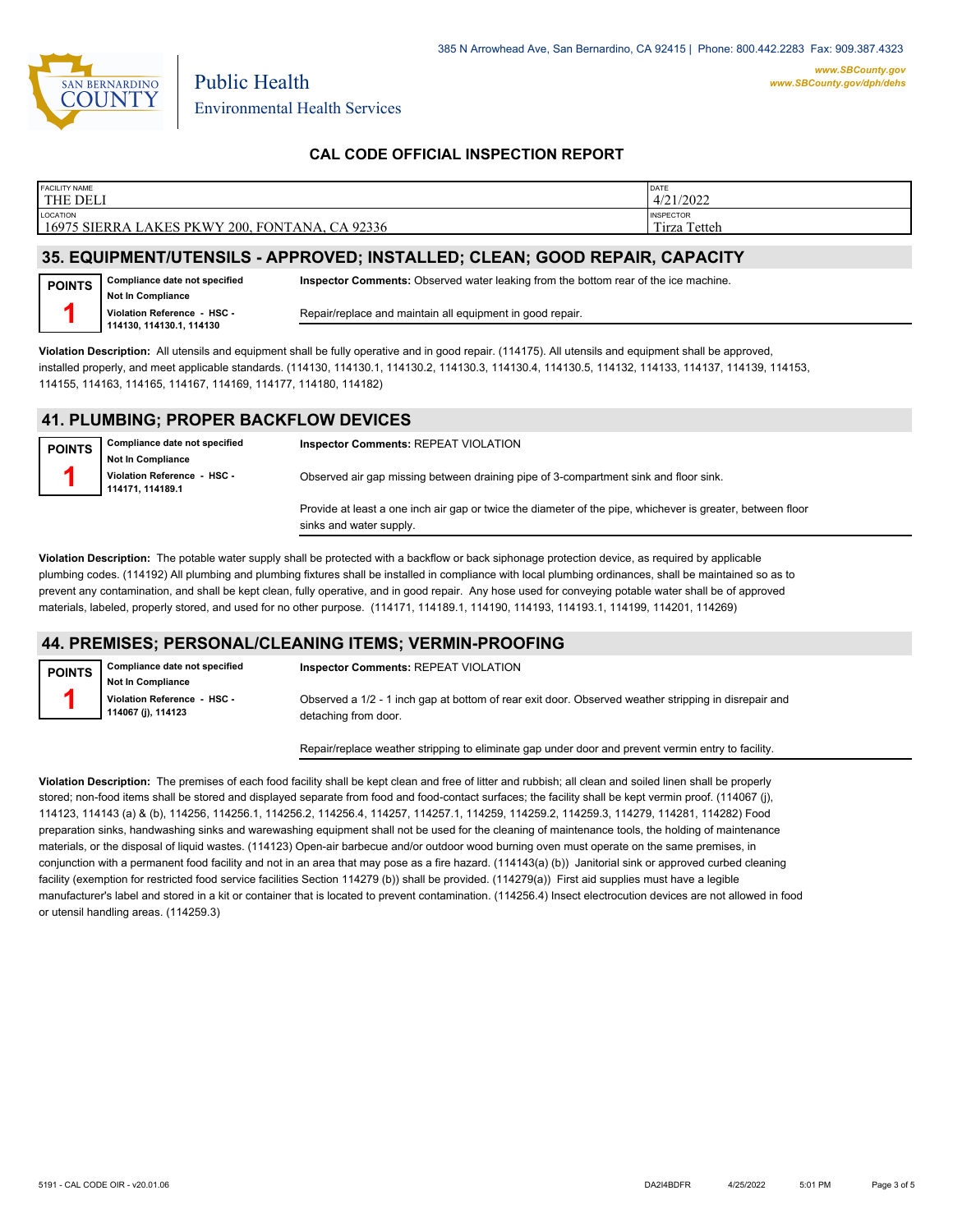

### **CAL CODE OFFICIAL INSPECTION REPORT**

| <b>FACILITY NAME</b>                                                 | DATE             |
|----------------------------------------------------------------------|------------------|
| THE DELI                                                             | 4/21/2022        |
| <b>LOCATION</b>                                                      | <b>INSPECTOR</b> |
| 16975 SIERRA LAKES PKWY 200, FONTANA, CA 92336                       | Tirza Tetteh     |
| AF FAUIBUFUFUFFUAU A. JBBBAVER IUATJU FR. ALFJJU AAAB BEBJJB AJBJAFV |                  |

#### **35. EQUIPMENT/UTENSILS - APPROVED; INSTALLED; CLEAN; GOOD REPAIR, CAPACITY**

| <b>POINTS</b> | Compliance date not specified                           | <b>Inspector Comments:</b> Observed water leaking from the bottom rear of the ice machine. |
|---------------|---------------------------------------------------------|--------------------------------------------------------------------------------------------|
|               | <b>Not In Compliance</b><br>Violation Reference - HSC - | Repair/replace and maintain all equipment in good repair.                                  |
|               | 114130, 114130.1, 114130                                |                                                                                            |

**Violation Description:** All utensils and equipment shall be fully operative and in good repair. (114175). All utensils and equipment shall be approved, installed properly, and meet applicable standards. (114130, 114130.1, 114130.2, 114130.3, 114130.4, 114130.5, 114132, 114133, 114137, 114139, 114153, 114155, 114163, 114165, 114167, 114169, 114177, 114180, 114182)

### **41. PLUMBING; PROPER BACKFLOW DEVICES**

| <b>POINTS</b> | Compliance date not specified<br><b>Not In Compliance</b> | <b>Inspector Comments: REPEAT VIOLATION</b>                                                                                           |
|---------------|-----------------------------------------------------------|---------------------------------------------------------------------------------------------------------------------------------------|
|               | Violation Reference - HSC -<br>114171.114189.1            | Observed air gap missing between draining pipe of 3-compartment sink and floor sink.                                                  |
|               |                                                           | Provide at least a one inch air gap or twice the diameter of the pipe, whichever is greater, between floor<br>sinks and water supply. |

**Violation Description:** The potable water supply shall be protected with a backflow or back siphonage protection device, as required by applicable plumbing codes. (114192) All plumbing and plumbing fixtures shall be installed in compliance with local plumbing ordinances, shall be maintained so as to prevent any contamination, and shall be kept clean, fully operative, and in good repair. Any hose used for conveying potable water shall be of approved materials, labeled, properly stored, and used for no other purpose. (114171, 114189.1, 114190, 114193, 114193.1, 114199, 114201, 114269)

### **44. PREMISES; PERSONAL/CLEANING ITEMS; VERMIN-PROOFING**

| <b>POINTS</b> | <b>Compliance date not specified</b>              | Inspector Comments: REPEAT VIOLATION                                                                 |
|---------------|---------------------------------------------------|------------------------------------------------------------------------------------------------------|
|               | Not In Compliance                                 |                                                                                                      |
|               | Violation Reference - HSC -<br>114067 (j), 114123 | Observed a 1/2 - 1 inch gap at bottom of rear exit door. Observed weather stripping in disrepair and |
|               |                                                   | detaching from door.                                                                                 |

Repair/replace weather stripping to eliminate gap under door and prevent vermin entry to facility.

**Violation Description:** The premises of each food facility shall be kept clean and free of litter and rubbish; all clean and soiled linen shall be properly stored; non-food items shall be stored and displayed separate from food and food-contact surfaces; the facility shall be kept vermin proof. (114067 (j), 114123, 114143 (a) & (b), 114256, 114256.1, 114256.2, 114256.4, 114257, 114257.1, 114259, 114259.2, 114259.3, 114279, 114281, 114282) Food preparation sinks, handwashing sinks and warewashing equipment shall not be used for the cleaning of maintenance tools, the holding of maintenance materials, or the disposal of liquid wastes. (114123) Open-air barbecue and/or outdoor wood burning oven must operate on the same premises, in conjunction with a permanent food facility and not in an area that may pose as a fire hazard. (114143(a) (b)) Janitorial sink or approved curbed cleaning facility (exemption for restricted food service facilities Section 114279 (b)) shall be provided. (114279(a)) First aid supplies must have a legible manufacturer's label and stored in a kit or container that is located to prevent contamination. (114256.4) Insect electrocution devices are not allowed in food or utensil handling areas. (114259.3)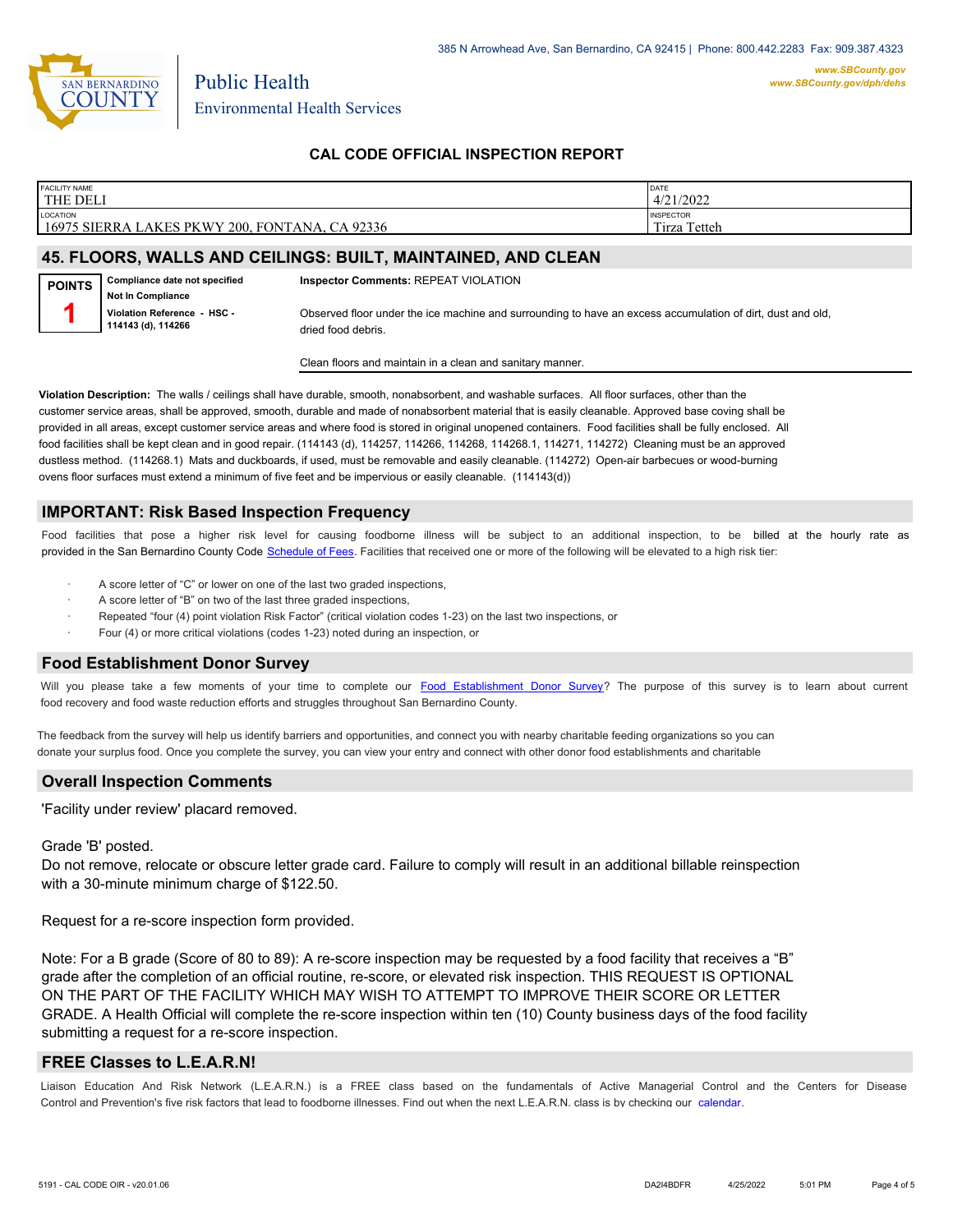

## **CAL CODE OFFICIAL INSPECTION REPORT**

| <b>FACILITY NAME</b>                                           | DATE             |
|----------------------------------------------------------------|------------------|
| <b>THE DELI</b>                                                | 4/21/2022        |
|                                                                |                  |
| <b>LOCATION</b>                                                | <b>INSPECTOR</b> |
| 16975 SIERRA LAKES PKWY 200, FONTANA, CA 92336                 | Tirza Tetteh     |
|                                                                |                  |
| <b>JE ELOODO MILLIO AND OFILINOO DUUT MAINTAINED AND OLEAN</b> |                  |

#### **45. FLOORS, WALLS AND CEILINGS: BUILT, MAINTAINED, AND CLEAN**

**Compliance date not specified Not In Compliance Violation Reference - HSC - 114143 (d), 114266 POINTS 1 Inspector Comments:** REPEAT VIOLATION Observed floor under the ice machine and surrounding to have an excess accumulation of dirt, dust and old, dried food debris.

Clean floors and maintain in a clean and sanitary manner.

**Violation Description:** The walls / ceilings shall have durable, smooth, nonabsorbent, and washable surfaces. All floor surfaces, other than the customer service areas, shall be approved, smooth, durable and made of nonabsorbent material that is easily cleanable. Approved base coving shall be provided in all areas, except customer service areas and where food is stored in original unopened containers. Food facilities shall be fully enclosed. All food facilities shall be kept clean and in good repair. (114143 (d), 114257, 114266, 114268, 114268, 114271, 114272) Cleaning must be an approved dustless method. (114268.1) Mats and duckboards, if used, must be removable and easily cleanable. (114272) Open-air barbecues or wood-burning ovens floor surfaces must extend a minimum of five feet and be impervious or easily cleanable. (114143(d))

#### **IMPORTANT: Risk Based Inspection Frequency**

Food facilities that pose a higher risk level for causing foodborne illness will be subject to an additional inspection, to be billed at the hourly rate as provided in the San Bernardi[no County Code Schedule of Fees](https://codelibrary.amlegal.com/codes/sanbernardino/latest/sanberncty_ca/0-0-0-122474#JD_16.0213B). Facilities that received one or more of the following will be elevated to a high risk tier:

- A score letter of "C" or lower on one of the last two graded inspections.
- A score letter of "B" on two of the last three graded inspections,
- Repeated "four (4) point violation Risk Factor" (critical violation codes 1-23) on the last two inspections, or
- Four (4) or more critical violations (codes 1-23) noted during an inspection, or

#### **Food Establishment Donor Survey**

Will you please take a few moments of your time to co[mplete our Food Establishment Donor Survey?](https://survey123.arcgis.com/share/626bb0fb21674c82832b0c0d557c5e80?field:faid=FA0032372&field:facility_name=THE%20DELI¢er=34.14,-117.43&field:phone=9096951515) The purpose of this survey is to learn about current food recovery and food waste reduction efforts and struggles throughout San Bernardino County.

The feedback from the survey will help us identify barriers and opportunities, and connect you with nearby charitable feeding organizations so you can donate your surplus fo[od. Once you complete the su](https://arcg.is/WvjGb)rvey, you can view your entry and connect with other donor food establishments and charitable

#### **Overall Inspection Comments**

'Facility under review' placard removed.

#### Grade 'B' posted.

Do not remove, relocate or obscure letter grade card. Failure to comply will result in an additional billable reinspection with a 30-minute minimum charge of \$122.50.

Request for a re-score inspection form provided.

Note: For a B grade (Score of 80 to 89): A re-score inspection may be requested by a food facility that receives a "B" grade after the completion of an official routine, re-score, or elevated risk inspection. THIS REQUEST IS OPTIONAL ON THE PART OF THE FACILITY WHICH MAY WISH TO ATTEMPT TO IMPROVE THEIR SCORE OR LETTER GRADE. A Health Official will complete the re-score inspection within ten (10) County business days of the food facility submitting a request for a re-score inspection.

#### **FREE Classes to L.E.A.R.N!**

Liaison Education And Risk Network (L.E.A.R.N.) is a FREE class based on the fundamentals of Active Managerial [Control and the Centers](http://wp.sbcounty.gov/dph/events/) for Disease Control and Prevention's five risk factors that lead to foodborne illnesses. Find out when the next L.E.A.R.N. class is by checking our calendar.